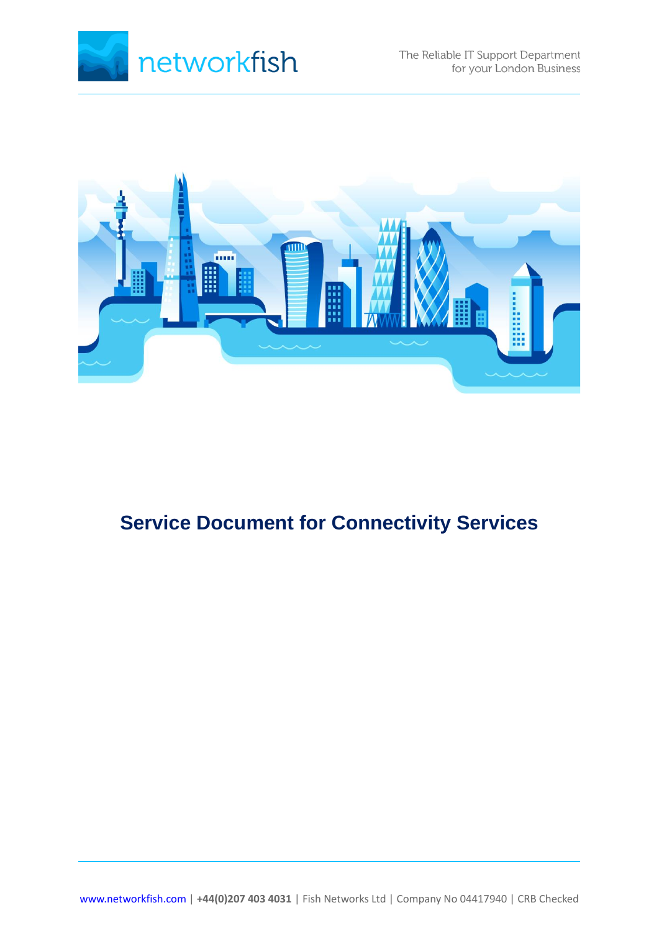



# **Service Document for Connectivity Services**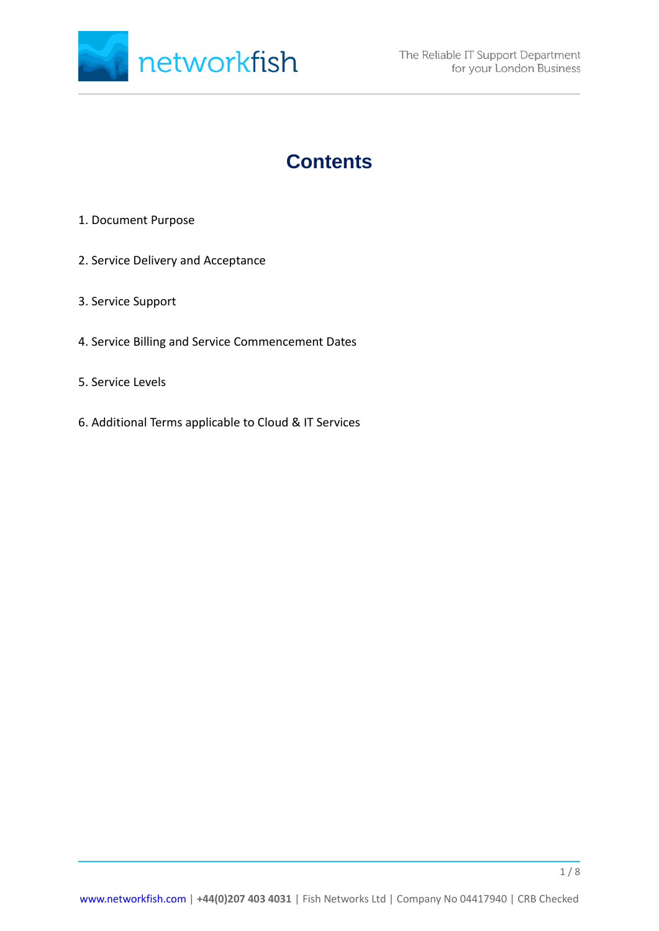

# **Contents**

- 1. Document Purpose
- 2. Service Delivery and Acceptance
- 3. Service Support
- 4. Service Billing and Service Commencement Dates
- 5. Service Levels
- 6. Additional Terms applicable to Cloud & IT Services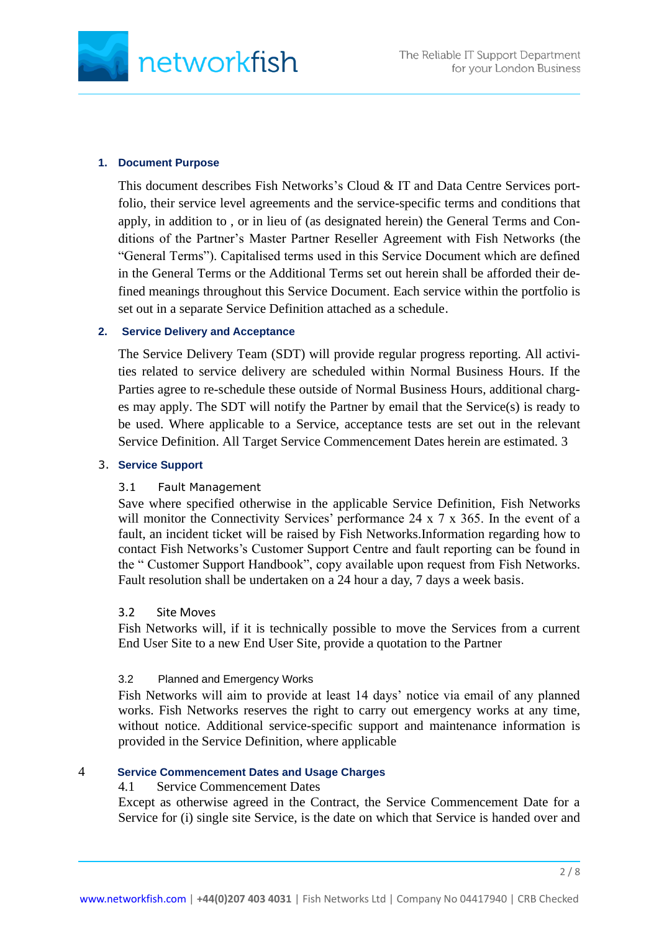

#### **1. Document Purpose**

This document describes Fish Networks's Cloud & IT and Data Centre Services portfolio, their service level agreements and the service-specific terms and conditions that apply, in addition to , or in lieu of (as designated herein) the General Terms and Conditions of the Partner's Master Partner Reseller Agreement with Fish Networks (the "General Terms"). Capitalised terms used in this Service Document which are defined in the General Terms or the Additional Terms set out herein shall be afforded their defined meanings throughout this Service Document. Each service within the portfolio is set out in a separate Service Definition attached as a schedule.

#### **2. Service Delivery and Acceptance**

The Service Delivery Team (SDT) will provide regular progress reporting. All activities related to service delivery are scheduled within Normal Business Hours. If the Parties agree to re-schedule these outside of Normal Business Hours, additional charges may apply. The SDT will notify the Partner by email that the Service(s) is ready to be used. Where applicable to a Service, acceptance tests are set out in the relevant Service Definition. All Target Service Commencement Dates herein are estimated. 3

# 3. **Service Support**

### 3.1 Fault Management

Save where specified otherwise in the applicable Service Definition, Fish Networks will monitor the Connectivity Services' performance 24 x 7 x 365. In the event of a fault, an incident ticket will be raised by Fish Networks.Information regarding how to contact Fish Networks's Customer Support Centre and fault reporting can be found in the " Customer Support Handbook", copy available upon request from Fish Networks. Fault resolution shall be undertaken on a 24 hour a day, 7 days a week basis.

#### 3.2 Site Moves

Fish Networks will, if it is technically possible to move the Services from a current End User Site to a new End User Site, provide a quotation to the Partner

### 3.2 Planned and Emergency Works

Fish Networks will aim to provide at least 14 days' notice via email of any planned works. Fish Networks reserves the right to carry out emergency works at any time, without notice. Additional service-specific support and maintenance information is provided in the Service Definition, where applicable

### 4 **Service Commencement Dates and Usage Charges**

#### 4.1 Service Commencement Dates

Except as otherwise agreed in the Contract, the Service Commencement Date for a Service for (i) single site Service, is the date on which that Service is handed over and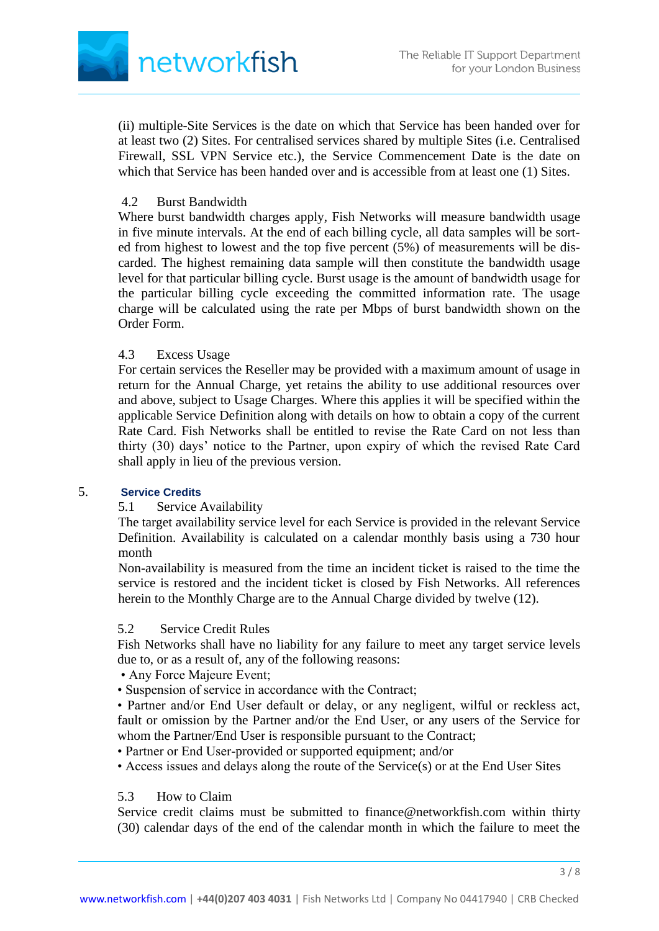

(ii) multiple-Site Services is the date on which that Service has been handed over for at least two (2) Sites. For centralised services shared by multiple Sites (i.e. Centralised Firewall, SSL VPN Service etc.), the Service Commencement Date is the date on which that Service has been handed over and is accessible from at least one (1) Sites.

# 4.2 Burst Bandwidth

Where burst bandwidth charges apply, Fish Networks will measure bandwidth usage in five minute intervals. At the end of each billing cycle, all data samples will be sorted from highest to lowest and the top five percent (5%) of measurements will be discarded. The highest remaining data sample will then constitute the bandwidth usage level for that particular billing cycle. Burst usage is the amount of bandwidth usage for the particular billing cycle exceeding the committed information rate. The usage charge will be calculated using the rate per Mbps of burst bandwidth shown on the Order Form.

# 4.3 Excess Usage

For certain services the Reseller may be provided with a maximum amount of usage in return for the Annual Charge, yet retains the ability to use additional resources over and above, subject to Usage Charges. Where this applies it will be specified within the applicable Service Definition along with details on how to obtain a copy of the current Rate Card. Fish Networks shall be entitled to revise the Rate Card on not less than thirty (30) days' notice to the Partner, upon expiry of which the revised Rate Card shall apply in lieu of the previous version.

### 5. **Service Credits**

# 5.1 Service Availability

The target availability service level for each Service is provided in the relevant Service Definition. Availability is calculated on a calendar monthly basis using a 730 hour month

Non-availability is measured from the time an incident ticket is raised to the time the service is restored and the incident ticket is closed by Fish Networks. All references herein to the Monthly Charge are to the Annual Charge divided by twelve (12).

### 5.2 Service Credit Rules

Fish Networks shall have no liability for any failure to meet any target service levels due to, or as a result of, any of the following reasons:

- Any Force Majeure Event;
- Suspension of service in accordance with the Contract;

• Partner and/or End User default or delay, or any negligent, wilful or reckless act, fault or omission by the Partner and/or the End User, or any users of the Service for whom the Partner/End User is responsible pursuant to the Contract;

• Partner or End User-provided or supported equipment; and/or

• Access issues and delays along the route of the Service(s) or at the End User Sites

# 5.3 How to Claim

Service credit claims must be submitted to finance@networkfish.com within thirty (30) calendar days of the end of the calendar month in which the failure to meet the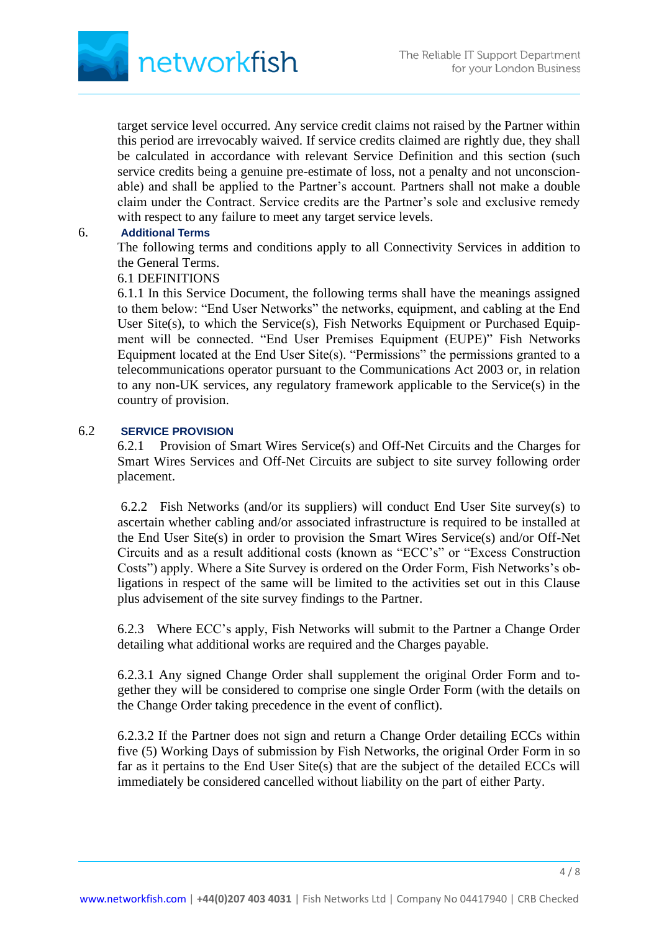

target service level occurred. Any service credit claims not raised by the Partner within this period are irrevocably waived. If service credits claimed are rightly due, they shall be calculated in accordance with relevant Service Definition and this section (such service credits being a genuine pre-estimate of loss, not a penalty and not unconscionable) and shall be applied to the Partner's account. Partners shall not make a double claim under the Contract. Service credits are the Partner's sole and exclusive remedy with respect to any failure to meet any target service levels.

### 6. **Additional Terms**

The following terms and conditions apply to all Connectivity Services in addition to the General Terms.

# 6.1 DEFINITIONS

6.1.1 In this Service Document, the following terms shall have the meanings assigned to them below: "End User Networks" the networks, equipment, and cabling at the End User Site(s), to which the Service(s), Fish Networks Equipment or Purchased Equipment will be connected. "End User Premises Equipment (EUPE)" Fish Networks Equipment located at the End User Site(s). "Permissions" the permissions granted to a telecommunications operator pursuant to the Communications Act 2003 or, in relation to any non-UK services, any regulatory framework applicable to the Service(s) in the country of provision.

## 6.2 **SERVICE PROVISION**

6.2.1 Provision of Smart Wires Service(s) and Off-Net Circuits and the Charges for Smart Wires Services and Off-Net Circuits are subject to site survey following order placement.

6.2.2 Fish Networks (and/or its suppliers) will conduct End User Site survey(s) to ascertain whether cabling and/or associated infrastructure is required to be installed at the End User Site(s) in order to provision the Smart Wires Service(s) and/or Off-Net Circuits and as a result additional costs (known as "ECC's" or "Excess Construction Costs") apply. Where a Site Survey is ordered on the Order Form, Fish Networks's obligations in respect of the same will be limited to the activities set out in this Clause plus advisement of the site survey findings to the Partner.

6.2.3 Where ECC's apply, Fish Networks will submit to the Partner a Change Order detailing what additional works are required and the Charges payable.

6.2.3.1 Any signed Change Order shall supplement the original Order Form and together they will be considered to comprise one single Order Form (with the details on the Change Order taking precedence in the event of conflict).

6.2.3.2 If the Partner does not sign and return a Change Order detailing ECCs within five (5) Working Days of submission by Fish Networks, the original Order Form in so far as it pertains to the End User Site(s) that are the subject of the detailed ECCs will immediately be considered cancelled without liability on the part of either Party.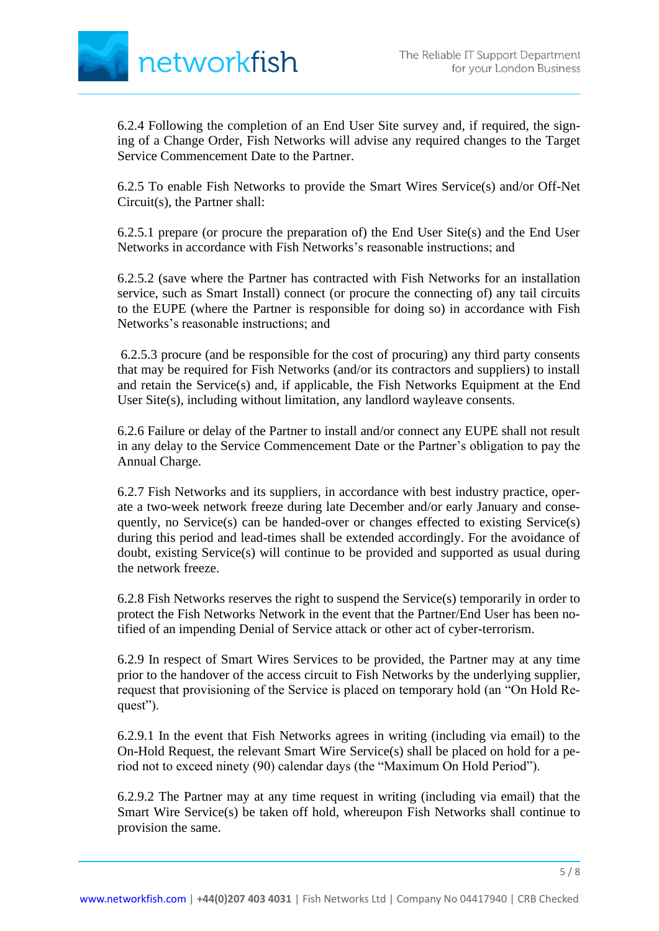

6.2.4 Following the completion of an End User Site survey and, if required, the signing of a Change Order, Fish Networks will advise any required changes to the Target Service Commencement Date to the Partner.

6.2.5 To enable Fish Networks to provide the Smart Wires Service(s) and/or Off-Net Circuit(s), the Partner shall:

6.2.5.1 prepare (or procure the preparation of) the End User Site(s) and the End User Networks in accordance with Fish Networks's reasonable instructions; and

6.2.5.2 (save where the Partner has contracted with Fish Networks for an installation service, such as Smart Install) connect (or procure the connecting of) any tail circuits to the EUPE (where the Partner is responsible for doing so) in accordance with Fish Networks's reasonable instructions; and

6.2.5.3 procure (and be responsible for the cost of procuring) any third party consents that may be required for Fish Networks (and/or its contractors and suppliers) to install and retain the Service(s) and, if applicable, the Fish Networks Equipment at the End User Site(s), including without limitation, any landlord wayleave consents.

6.2.6 Failure or delay of the Partner to install and/or connect any EUPE shall not result in any delay to the Service Commencement Date or the Partner's obligation to pay the Annual Charge.

6.2.7 Fish Networks and its suppliers, in accordance with best industry practice, operate a two-week network freeze during late December and/or early January and consequently, no Service(s) can be handed-over or changes effected to existing Service(s) during this period and lead-times shall be extended accordingly. For the avoidance of doubt, existing Service(s) will continue to be provided and supported as usual during the network freeze.

6.2.8 Fish Networks reserves the right to suspend the Service(s) temporarily in order to protect the Fish Networks Network in the event that the Partner/End User has been notified of an impending Denial of Service attack or other act of cyber-terrorism.

6.2.9 In respect of Smart Wires Services to be provided, the Partner may at any time prior to the handover of the access circuit to Fish Networks by the underlying supplier, request that provisioning of the Service is placed on temporary hold (an "On Hold Request").

6.2.9.1 In the event that Fish Networks agrees in writing (including via email) to the On-Hold Request, the relevant Smart Wire Service(s) shall be placed on hold for a period not to exceed ninety (90) calendar days (the "Maximum On Hold Period").

6.2.9.2 The Partner may at any time request in writing (including via email) that the Smart Wire Service(s) be taken off hold, whereupon Fish Networks shall continue to provision the same.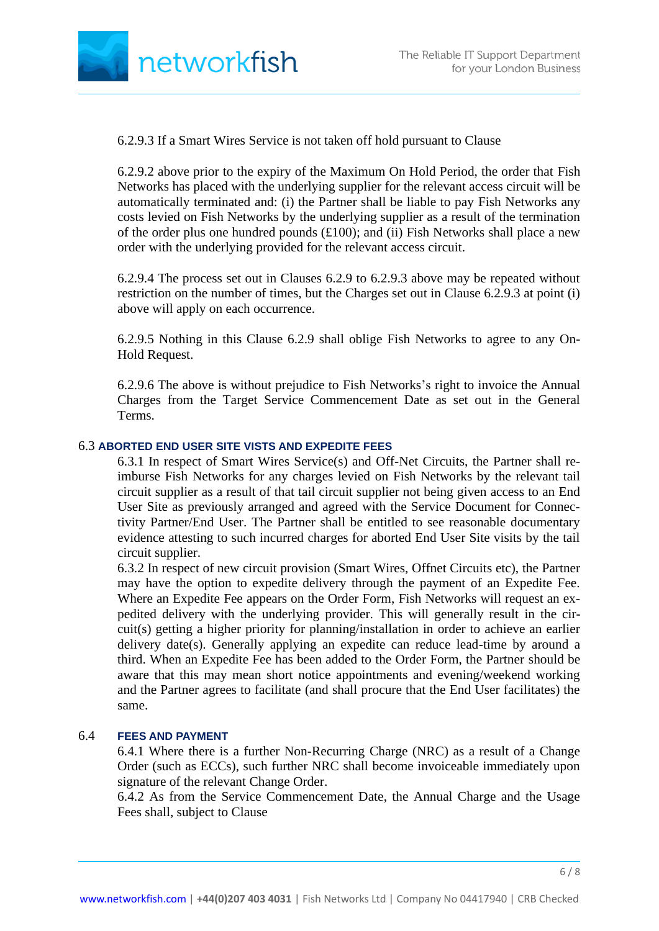

6.2.9.3 If a Smart Wires Service is not taken off hold pursuant to Clause

6.2.9.2 above prior to the expiry of the Maximum On Hold Period, the order that Fish Networks has placed with the underlying supplier for the relevant access circuit will be automatically terminated and: (i) the Partner shall be liable to pay Fish Networks any costs levied on Fish Networks by the underlying supplier as a result of the termination of the order plus one hundred pounds  $(\text{\pounds}100)$ ; and (ii) Fish Networks shall place a new order with the underlying provided for the relevant access circuit.

6.2.9.4 The process set out in Clauses 6.2.9 to 6.2.9.3 above may be repeated without restriction on the number of times, but the Charges set out in Clause 6.2.9.3 at point (i) above will apply on each occurrence.

6.2.9.5 Nothing in this Clause 6.2.9 shall oblige Fish Networks to agree to any On-Hold Request.

6.2.9.6 The above is without prejudice to Fish Networks's right to invoice the Annual Charges from the Target Service Commencement Date as set out in the General Terms.

### 6.3 **ABORTED END USER SITE VISTS AND EXPEDITE FEES**

6.3.1 In respect of Smart Wires Service(s) and Off-Net Circuits, the Partner shall reimburse Fish Networks for any charges levied on Fish Networks by the relevant tail circuit supplier as a result of that tail circuit supplier not being given access to an End User Site as previously arranged and agreed with the Service Document for Connectivity Partner/End User. The Partner shall be entitled to see reasonable documentary evidence attesting to such incurred charges for aborted End User Site visits by the tail circuit supplier.

6.3.2 In respect of new circuit provision (Smart Wires, Offnet Circuits etc), the Partner may have the option to expedite delivery through the payment of an Expedite Fee. Where an Expedite Fee appears on the Order Form, Fish Networks will request an expedited delivery with the underlying provider. This will generally result in the circuit(s) getting a higher priority for planning/installation in order to achieve an earlier delivery date(s). Generally applying an expedite can reduce lead-time by around a third. When an Expedite Fee has been added to the Order Form, the Partner should be aware that this may mean short notice appointments and evening/weekend working and the Partner agrees to facilitate (and shall procure that the End User facilitates) the same.

#### 6.4 **FEES AND PAYMENT**

6.4.1 Where there is a further Non-Recurring Charge (NRC) as a result of a Change Order (such as ECCs), such further NRC shall become invoiceable immediately upon signature of the relevant Change Order.

6.4.2 As from the Service Commencement Date, the Annual Charge and the Usage Fees shall, subject to Clause